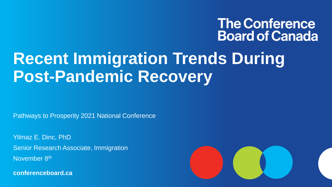#### **The Conference Board of Canada**

## **Recent Immigration Trends During Post-Pandemic Recovery**

Pathways to Prosperity 2021 National Conference

Yilmaz E. Dinc, PhD Senior Research Associate, Immigration November 8<sup>th</sup>

**conferenceboard.ca**

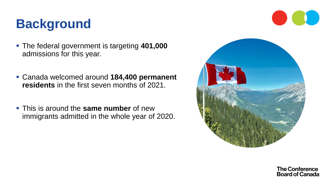#### **Background**

- The federal government is targeting **401,000**  admissions for this year.
- Canada welcomed around **184,400 permanent residents** in the first seven months of 2021.
- This is around the **same number** of new immigrants admitted in the whole year of 2020.



**The Conference Board of Canada**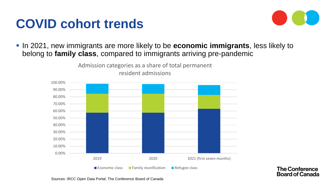

**The Conference Board of Canada** 

▪ In 2021, new immigrants are more likely to be **economic immigrants**, less likely to belong to **family class**, compared to immigrants arriving pre-pandemic



Admission categories as a share of total permanent

Sources: IRCC Open Data Portal; The Conference Board of Canada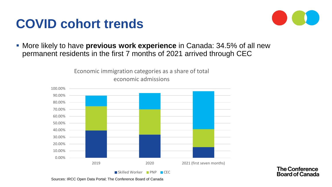

▪ More likely to have **previous work experience** in Canada: 34.5% of all new permanent residents in the first 7 months of 2021 arrived through CEC

> Economic immigration categories as a share of total economic admissions



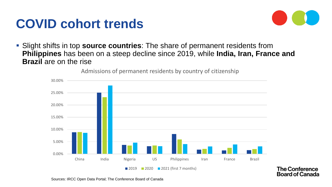

**The Conference Board of Canada** 

▪ Slight shifts in top **source countries**: The share of permanent residents from **Philippines** has been on a steep decline since 2019, while **India, Iran, France and Brazil** are on the rise



Admissions of permanent residents by country of citizenship

Sources: IRCC Open Data Portal; The Conference Board of Canada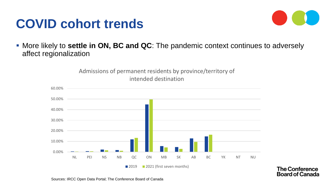

**The Conference Board of Canada** 

■ More likely to **settle in ON, BC and QC**: The pandemic context continues to adversely affect regionalization

> Admissions of permanent residents by province/territory of intended destination

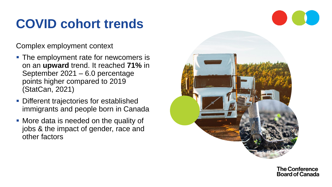Complex employment context

- The employment rate for newcomers is on an **upward** trend. It reached **71%** in September 2021 – 6.0 percentage points higher compared to 2019 (StatCan, 2021)
- **Different trajectories for established** immigrants and people born in Canada
- More data is needed on the quality of jobs & the impact of gender, race and other factors



**The Conference Board of Canada**